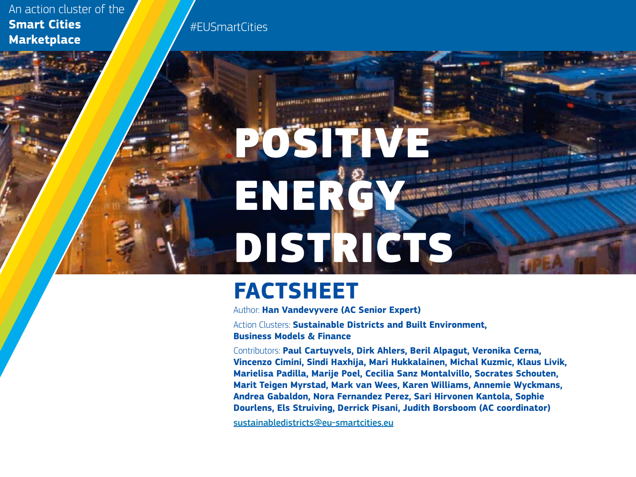An action cluster of the **Smart Cities Marketplace**

#EUSmartCities

# POSIT ENER DISTRICTS

# **FACTSHEET**

Author: **Han Vandevyvere (AC Senior Expert)**

Action Clusters: **Sustainable Districts and Built Environment, Business Models & Finance**

Contributors: **Paul Cartuyvels, Dirk Ahlers, Beril Alpagut, Veronika Cerna, Vincenzo Cimini, Sindi Haxhija, Mari Hukkalainen, Michal Kuzmic, Klaus Livik, Marielisa Padilla, Marije Poel, Cecilia Sanz Montalvillo, Socrates Schouten, Marit Teigen Myrstad, Mark van Wees, Karen Williams, Annemie Wyckmans, Andrea Gabaldon, Nora Fernandez Perez, Sari Hirvonen Kantola, Sophie Dourlens, Els Struiving, Derrick Pisani, Judith Borsboom (AC coordinator)**

[sustainabledistricts@eu-smartcities.eu](mailto:sustainabledistricts%40eu-smartcities.eu?subject=)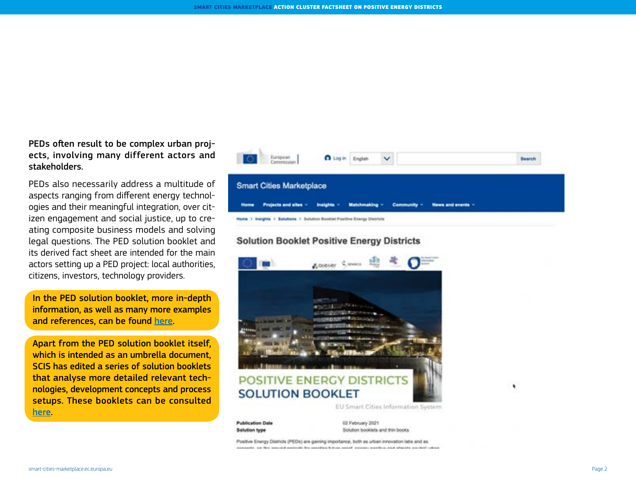PEDs often result to be complex urban projects, involving many different actors and stakeholders.

PEDs also necessarily address a multitude of aspects ranging from different energy technologies and their meaningful integration, over citizen engagement and social justice, up to creating composite business models and solving legal questions. The PED solution booklet and its derived fact sheet are intended for the main actors setting up a PED project: local authorities, citizens, investors, technology providers.

In the PED solution booklet, more in-depth information, as well as many more examples and references, can be found [here](https://smart-cities-marketplace.ec.europa.eu/insights/solutions/solution-booklet-positive-energy-districts ).

Apart from the PED solution booklet itself, which is intended as an umbrella document, SCIS has edited a series of solution booklets that analyse more detailed relevant technologies, development concepts and process setups. These booklets can be consulted [here.](https://smart-cities-marketplace.ec.europa.eu/insights/solutions)



#### **Solution Booklet Positive Energy Districts**



Solution booklets and thin books

Positive Energy Districts (PEDs) are gaining importance, both as urban innovation labs and as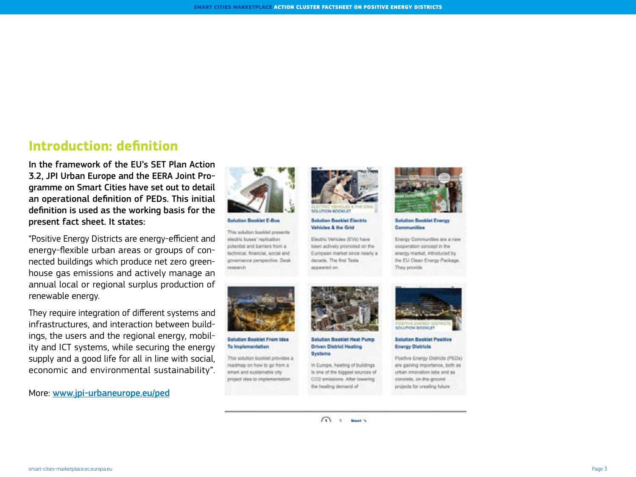### **Introduction: definition**

In the framework of the EU's SET Plan Action 3.2, JPI Urban Europe and the EERA Joint Programme on Smart Cities have set out to detail an operational definition of PEDs. This initial definition is used as the working basis for the present fact sheet. It states:

"Positive Energy Districts are energy-efficient and energy-flexible urban areas or groups of connected buildings which produce net zero greenhouse gas emissions and actively manage an annual local or regional surplus production of renewable energy.

They require integration of different systems and infrastructures, and interaction between buildings, the users and the regional energy, mobility and ICT systems, while securing the energy supply and a good life for all in line with social, economic and environmental sustainability".

More: [www.jpi-urbaneurope.eu/ped](http://www.jpi-urbaneurope.eu/ped)



electric buses' replication potential and barriers from a technical, financial, social and governance perspective. Desk. esearch



**Solution Booklet Electric** Vehicles & the Grid

Electric Vehicles (EVA) have been actively promoted on the European market since nearly a decade. The first Tesla appeared on



**Solution Booklet Energy** Communities

Energy Communities are a new cooperation concept in the energy market, introduced by the EU Clean Energy Package. They provide



**Selution Booklet From Idea** To Implementation

This solution booklet provides a roadmap on how to go from a smart and sustainable city project idea to implementation



**Solution Booklet Heat Pump Driven District Heating** Systems

In Europe, heating of buildings. is one of the biggest sources of CO2 emissions. After lowering the healing demand of



**Solution Booklet Positive Energy Districts** 

Positive Energy Districts (PEDs) are gaining importance, both as urban innovation labs and as concrete, on-the-ground. projects for creating future



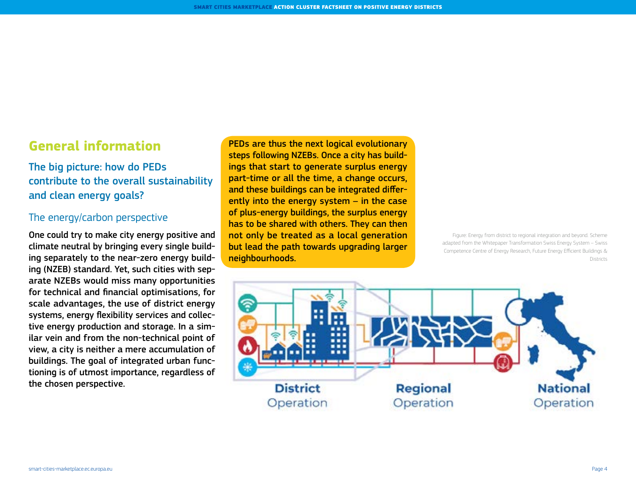# **General information**

The big picture: how do PEDs contribute to the overall sustainability and clean energy goals?

#### The energy/carbon perspective

One could try to make city energy positive and climate neutral by bringing every single building separately to the near-zero energy building (NZEB) standard. Yet, such cities with separate NZEBs would miss many opportunities for technical and financial optimisations, for scale advantages, the use of district energy systems, energy flexibility services and collective energy production and storage. In a similar vein and from the non-technical point of view, a city is neither a mere accumulation of buildings. The goal of integrated urban functioning is of utmost importance, regardless of the chosen perspective.

PEDs are thus the next logical evolutionary steps following NZEBs. Once a city has buildings that start to generate surplus energy part-time or all the time, a change occurs, and these buildings can be integrated differently into the energy system – in the case of plus-energy buildings, the surplus energy has to be shared with others. They can then not only be treated as a local generation but lead the path towards upgrading larger neighbourhoods.

Figure: Energy from district to regional integration and beyond. Scheme adapted from the Whitepaper Transformation Swiss Energy System – Swiss Competence Centre of Energy Research, Future Energy Efficient Buildings & Districts

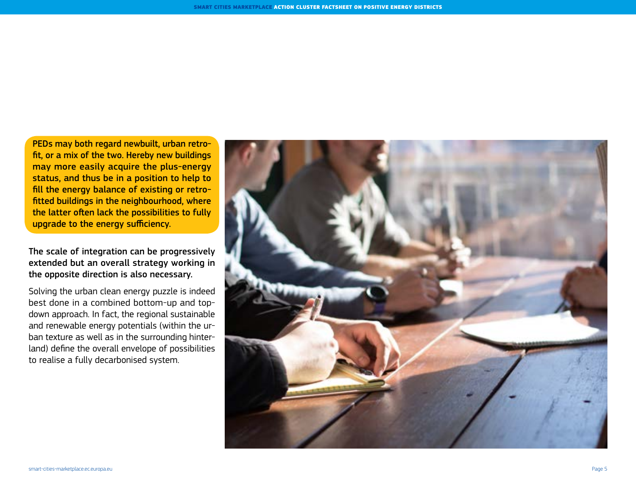PEDs may both regard newbuilt, urban retrofit, or a mix of the two. Hereby new buildings may more easily acquire the plus-energy status, and thus be in a position to help to fill the energy balance of existing or retrofitted buildings in the neighbourhood, where the latter often lack the possibilities to fully upgrade to the energy sufficiency.

The scale of integration can be progressively extended but an overall strategy working in the opposite direction is also necessary.

Solving the urban clean energy puzzle is indeed best done in a combined bottom-up and topdown approach. In fact, the regional sustainable and renewable energy potentials (within the urban texture as well as in the surrounding hinterland) define the overall envelope of possibilities to realise a fully decarbonised system.

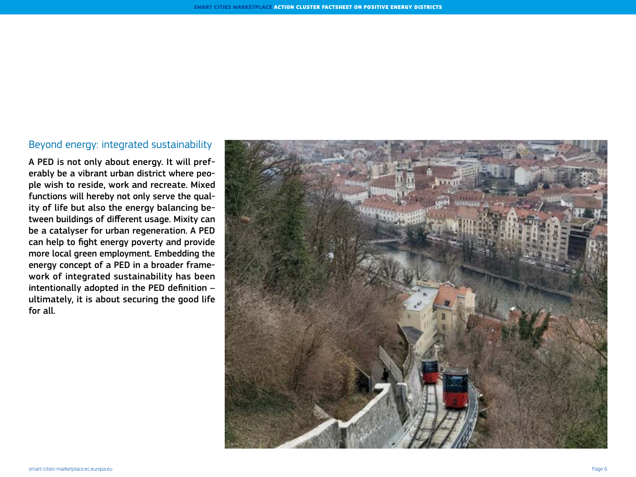#### Beyond energy: integrated sustainability

A PED is not only about energy. It will preferably be a vibrant urban district where people wish to reside, work and recreate. Mixed functions will hereby not only serve the quality of life but also the energy balancing between buildings of different usage. Mixity can be a catalyser for urban regeneration. A PED can help to fight energy poverty and provide more local green employment. Embedding the energy concept of a PED in a broader framework of integrated sustainability has been intentionally adopted in the PED definition – ultimately, it is about securing the good life for all.

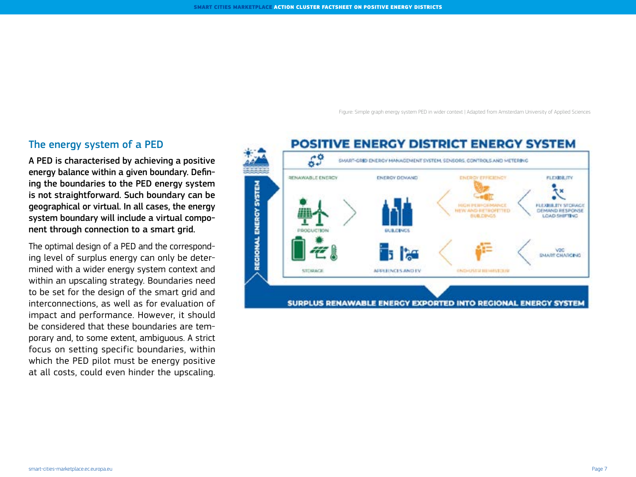Figure: Simple graph energy system PED in wider context | Adapted from Amsterdam University of Applied Sciences

#### The energy system of a PED

A PED is characterised by achieving a positive energy balance within a given boundary. Defining the boundaries to the PED energy system is not straightforward. Such boundary can be geographical or virtual. In all cases, the energy system boundary will include a virtual component through connection to a smart grid.

The optimal design of a PED and the corresponding level of surplus energy can only be determined with a wider energy system context and within an upscaling strategy. Boundaries need to be set for the design of the smart grid and interconnections, as well as for evaluation of impact and performance. However, it should be considered that these boundaries are temporary and, to some extent, ambiguous. A strict focus on setting specific boundaries, within which the PED pilot must be energy positive at all costs, could even hinder the upscaling.

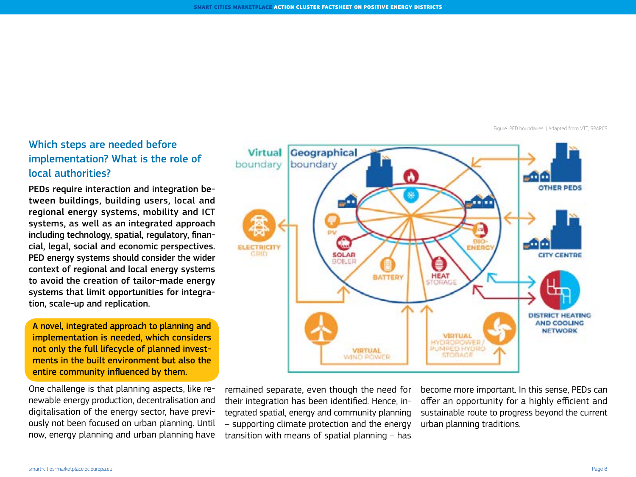Figure: PED boundaries. | Adapted from VTT, SPARCS

## Which steps are needed before implementation? What is the role of local authorities?

PEDs require interaction and integration between buildings, building users, local and regional energy systems, mobility and ICT systems, as well as an integrated approach including technology, spatial, regulatory, financial, legal, social and economic perspectives. PED energy systems should consider the wider context of regional and local energy systems to avoid the creation of tailor-made energy systems that limit opportunities for integration, scale-up and replication.

A novel, integrated approach to planning and implementation is needed, which considers not only the full lifecycle of planned investments in the built environment but also the entire community influenced by them.

One challenge is that planning aspects, like renewable energy production, decentralisation and digitalisation of the energy sector, have previously not been focused on urban planning. Until now, energy planning and urban planning have



remained separate, even though the need for their integration has been identified. Hence, integrated spatial, energy and community planning – supporting climate protection and the energy transition with means of spatial planning – has

become more important. In this sense, PEDs can offer an opportunity for a highly efficient and sustainable route to progress beyond the current urban planning traditions.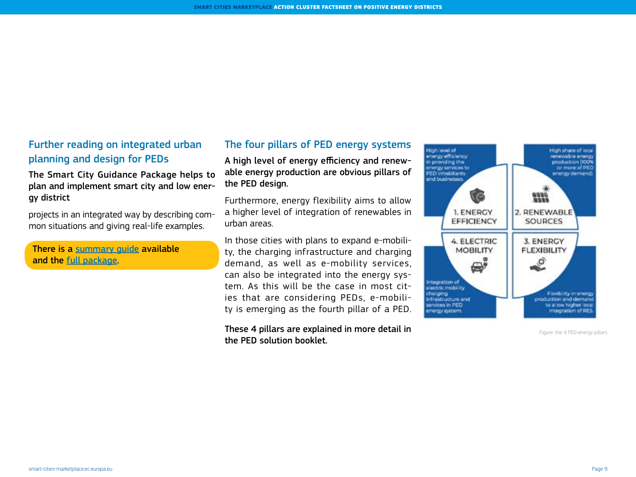#### Further reading on integrated urban planning and design for PEDs

The Smart City Guidance Package helps to plan and implement smart city and low energy district

projects in an integrated way by describing common situations and giving real-life examples.

There is a [summary guide](https://smart-cities-marketplace.ec.europa.eu/insights/solutions/smart-cities-guidance-package-summary) available and the [full package](https://smart-cities-marketplace.ec.europa.eu/insights/solutions/smart-cities-guidance-package-full-document).

#### The four pillars of PED energy systems

A high level of energy efficiency and renewable energy production are obvious pillars of the PED design.

Furthermore, energy flexibility aims to allow a higher level of integration of renewables in urban areas.

In those cities with plans to expand e-mobility, the charging infrastructure and charging demand, as well as e-mobility services, can also be integrated into the energy system. As this will be the case in most cities that are considering PEDs, e-mobility is emerging as the fourth pillar of a PED.

These 4 pillars are explained in more detail in  $\frac{1}{2}$  and  $\frac{1}{2}$  are  $\frac{1}{2}$  and  $\frac{1}{2}$  are  $\frac{1}{2}$  are  $\frac{1}{2}$  are  $\frac{1}{2}$  are  $\frac{1}{2}$  are  $\frac{1}{2}$  and  $\frac{1}{2}$  are  $\frac{1}{2}$  are  $\frac{1}{2}$  and  $\frac{1$ the PED solution booklet.

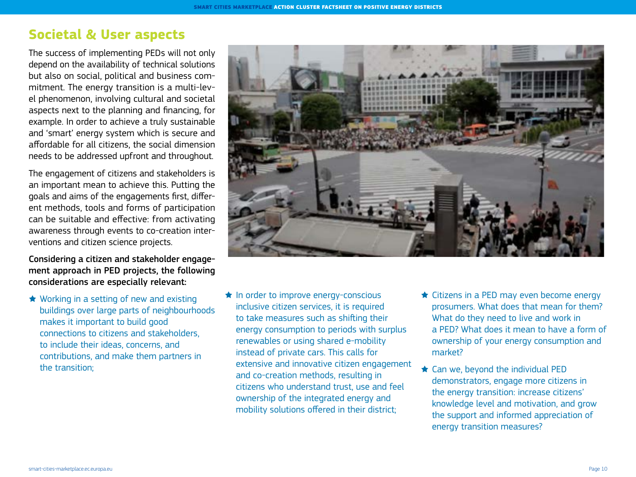# **Societal & User aspects**

The success of implementing PEDs will not only depend on the availability of technical solutions but also on social, political and business commitment. The energy transition is a multi-level phenomenon, involving cultural and societal aspects next to the planning and financing, for example. In order to achieve a truly sustainable and 'smart' energy system which is secure and affordable for all citizens, the social dimension needs to be addressed upfront and throughout.

The engagement of citizens and stakeholders is an important mean to achieve this. Putting the goals and aims of the engagements first, different methods, tools and forms of participation can be suitable and effective: from activating awareness through events to co-creation interventions and citizen science projects.

Considering a citizen and stakeholder engagement approach in PED projects, the following considerations are especially relevant:

★ Working in a setting of new and existing buildings over large parts of neighbourhoods makes it important to build good connections to citizens and stakeholders, to include their ideas, concerns, and contributions, and make them partners in the transition;



- ★ In order to improve energy-conscious inclusive citizen services, it is required to take measures such as shifting their energy consumption to periods with surplus renewables or using shared e-mobility instead of private cars. This calls for extensive and innovative citizen engagement and co-creation methods, resulting in citizens who understand trust, use and feel ownership of the integrated energy and mobility solutions offered in their district;
- ★ Citizens in a PED may even become energy prosumers. What does that mean for them? What do they need to live and work in a PED? What does it mean to have a form of ownership of your energy consumption and market?
- ★ Can we, beyond the individual PED demonstrators, engage more citizens in the energy transition: increase citizens' knowledge level and motivation, and grow the support and informed appreciation of energy transition measures?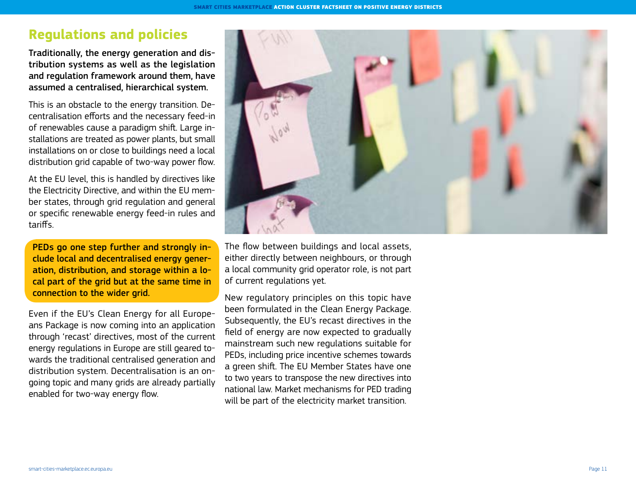# **Regulations and policies**

Traditionally, the energy generation and distribution systems as well as the legislation and regulation framework around them, have assumed a centralised, hierarchical system.

This is an obstacle to the energy transition. Decentralisation efforts and the necessary feed-in of renewables cause a paradigm shift. Large installations are treated as power plants, but small installations on or close to buildings need a local distribution grid capable of two-way power flow.

At the EU level, this is handled by directives like the Electricity Directive, and within the EU member states, through grid regulation and general or specific renewable energy feed-in rules and tariffs.

PEDs go one step further and strongly include local and decentralised energy generation, distribution, and storage within a local part of the grid but at the same time in connection to the wider grid.

Even if the EU's Clean Energy for all Europeans Package is now coming into an application through 'recast' directives, most of the current energy regulations in Europe are still geared towards the traditional centralised generation and distribution system. Decentralisation is an ongoing topic and many grids are already partially enabled for two-way energy flow.



The flow between buildings and local assets, either directly between neighbours, or through a local community grid operator role, is not part of current regulations yet.

New regulatory principles on this topic have been formulated in the Clean Energy Package. Subsequently, the EU's recast directives in the field of energy are now expected to gradually mainstream such new regulations suitable for PEDs, including price incentive schemes towards a green shift. The EU Member States have one to two years to transpose the new directives into national law. Market mechanisms for PED trading will be part of the electricity market transition.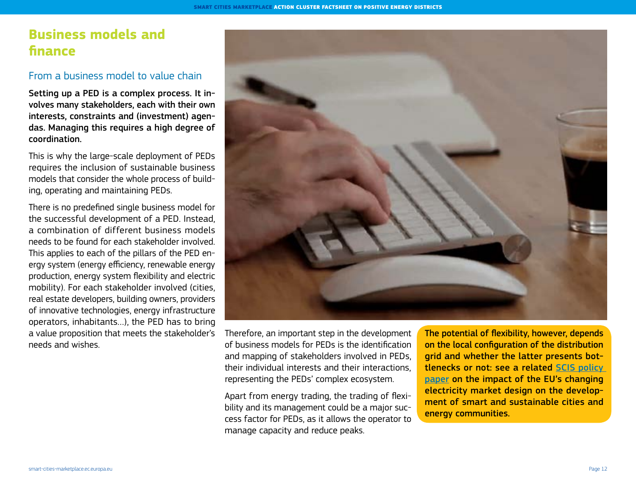# **Business models and finance**

#### From a business model to value chain

Setting up a PED is a complex process. It involves many stakeholders, each with their own interests, constraints and (investment) agendas. Managing this requires a high degree of coordination.

This is why the large-scale deployment of PEDs requires the inclusion of sustainable business models that consider the whole process of building, operating and maintaining PEDs.

There is no predefined single business model for the successful development of a PED. Instead, a combination of different business models needs to be found for each stakeholder involved. This applies to each of the pillars of the PED energy system (energy efficiency, renewable energy production, energy system flexibility and electric mobility). For each stakeholder involved (cities, real estate developers, building owners, providers of innovative technologies, energy infrastructure operators, inhabitants…), the PED has to bring a value proposition that meets the stakeholder's needs and wishes.



Therefore, an important step in the development of business models for PEDs is the identification and mapping of stakeholders involved in PEDs, their individual interests and their interactions, representing the PEDs' complex ecosystem.

Apart from energy trading, the trading of flexibility and its management could be a major success factor for PEDs, as it allows the operator to manage capacity and reduce peaks.

The potential of flexibility, however, depends on the local configuration of the distribution grid and whether the latter presents bottlenecks or not: see a related [SCIS policy](https://smart-cities-marketplace.ec.europa.eu/insights/publications/impact-eus-changing-electricity-market-design-development-smart-and)  [paper](https://smart-cities-marketplace.ec.europa.eu/insights/publications/impact-eus-changing-electricity-market-design-development-smart-and) on the impact of the EU's changing electricity market design on the development of smart and sustainable cities and energy communities.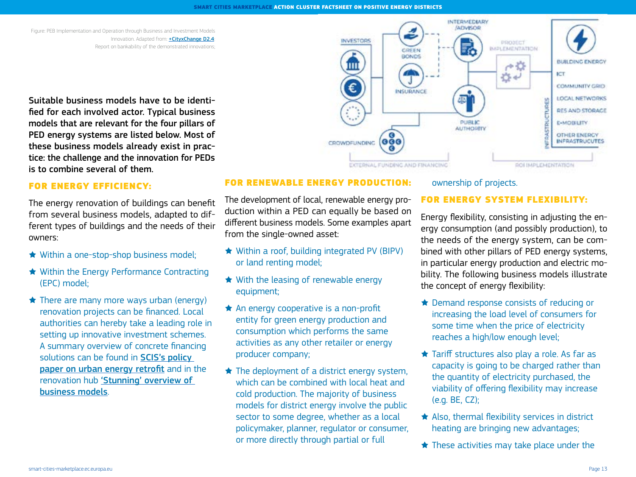Figure: PEB Implementation and Operation through Business and Investment Models Innovation. Adapted from: [+CityxChange D2.4](http://cityxchange.eu/knowledge-base/reporton-bankability-of-the-demonstrated-innovations): Report on bankability of the demonstrated innovations;

Suitable business models have to be identified for each involved actor. Typical business models that are relevant for the four pillars of PED energy systems are listed below. Most of these business models already exist in practice: the challenge and the innovation for PEDs is to combine several of them.

#### FOR ENERGY EFFICIENCY:

The energy renovation of buildings can benefit from several business models, adapted to different types of buildings and the needs of their owners:

- ★ Within a one-stop-shop business model;
- ★ Within the Energy Performance Contracting (EPC) model;
- $\bigstar$  There are many more ways urban (energy) renovation projects can be financed. Local authorities can hereby take a leading role in setting up innovative investment schemes. A summary overview of concrete financing solutions can be found in **SCIS's policy** [paper on urban energy retrofit](https://smart-cities-marketplace.ec.europa.eu/insights/publications/upscaling-urban-residential-retrofit-eus-low-carbon-future-challenges-and) and in the renovation hub ['Stunning' overview of](https://renovation-hub.eu/business-models/)  [business models](https://renovation-hub.eu/business-models/).



#### FOR RENEWABLE ENERGY PRODUCTION:

The development of local, renewable energy production within a PED can equally be based on different business models. Some examples apart from the single-owned asset:

- ★ Within a roof, building integrated PV (BIPV) or land renting model;
- ★ With the leasing of renewable energy equipment;
- ★ An energy cooperative is a non-profit entity for green energy production and consumption which performs the same activities as any other retailer or energy producer company;
- ★ The deployment of a district energy system, which can be combined with local heat and cold production. The majority of business models for district energy involve the public sector to some degree, whether as a local policymaker, planner, regulator or consumer, or more directly through partial or full

#### ownership of projects.

#### FOR ENERGY SYSTEM FLEXIBILITY:

Energy flexibility, consisting in adjusting the energy consumption (and possibly production), to the needs of the energy system, can be combined with other pillars of PED energy systems, in particular energy production and electric mobility. The following business models illustrate the concept of energy flexibility:

- ★ Demand response consists of reducing or increasing the load level of consumers for some time when the price of electricity reaches a high/low enough level;
- ★ Tariff structures also play a role. As far as capacity is going to be charged rather than the quantity of electricity purchased, the viability of offering flexibility may increase (e.g. BE, CZ);
- ★ Also, thermal flexibility services in district heating are bringing new advantages;
- $\star$  These activities may take place under the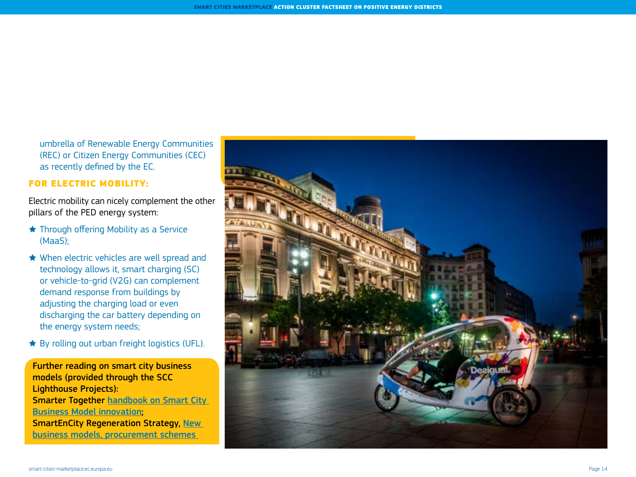umbrella of Renewable Energy Communities (REC) or Citizen Energy Communities (CEC) as recently defined by the EC.

#### FOR ELECTRIC MOBILITY:

Electric mobility can nicely complement the other pillars of the PED energy system:

- ★ Through offering Mobility as a Service (MaaS);
- ★ When electric vehicles are well spread and technology allows it, smart charging (SC) or vehicle-to-grid (V2G) can complement demand response from buildings by adjusting the charging load or even discharging the car battery depending on the energy system needs;
- ★ By rolling out urban freight logistics (UFL).

Further reading on smart city business models (provided through the SCC Lighthouse Projects): Smarter Together [handbook on Smart City](http://smarter-together.eu/deliverables/handbook-smart-city-business-model-innovation)  [Business Model innovation](http://smarter-together.eu/deliverables/handbook-smart-city-business-model-innovation); **SmartEnCity Regeneration Strategy, New** [business models, procurement schemes](http://smartencity.eu/news/detail/?rx_call=107) 

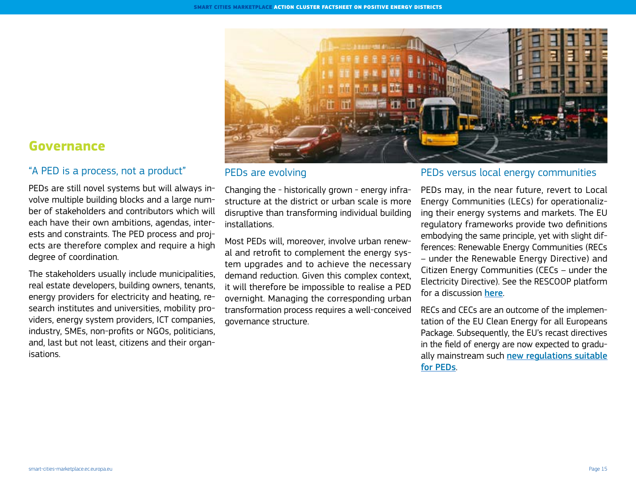

#### PEDs are evolving

Changing the - historically grown - energy infrastructure at the district or urban scale is more disruptive than transforming individual building installations.

Most PEDs will, moreover, involve urban renewal and retrofit to complement the energy system upgrades and to achieve the necessary demand reduction. Given this complex context, it will therefore be impossible to realise a PED overnight. Managing the corresponding urban transformation process requires a well-conceived governance structure.

#### PEDs versus local energy communities

PEDs may, in the near future, revert to Local Energy Communities (LECs) for operationalizing their energy systems and markets. The EU regulatory frameworks provide two definitions embodying the same principle, yet with slight differences: Renewable Energy Communities (RECs – under the Renewable Energy Directive) and Citizen Energy Communities (CECs – under the Electricity Directive). See the RESCOOP platform for a discussion [here](https://www.rescoop.eu/toolbox/q-a-what-are-citizen-and-renewable-energy-communities).

RECs and CECs are an outcome of the implementation of the EU Clean Energy for all Europeans Package. Subsequently, the EU's recast directives in the field of energy are now expected to gradually mainstream such new regulations suitable [for PEDs](https://ec.europa.eu/energy/topics/energy-strategy/clean-energy-all-europeans_en).

# **Governance**

#### "A PED is a process, not a product"

PEDs are still novel systems but will always involve multiple building blocks and a large number of stakeholders and contributors which will each have their own ambitions, agendas, interests and constraints. The PED process and projects are therefore complex and require a high degree of coordination.

The stakeholders usually include municipalities, real estate developers, building owners, tenants, energy providers for electricity and heating, research institutes and universities, mobility providers, energy system providers, ICT companies, industry, SMEs, non-profits or NGOs, politicians, and, last but not least, citizens and their organisations.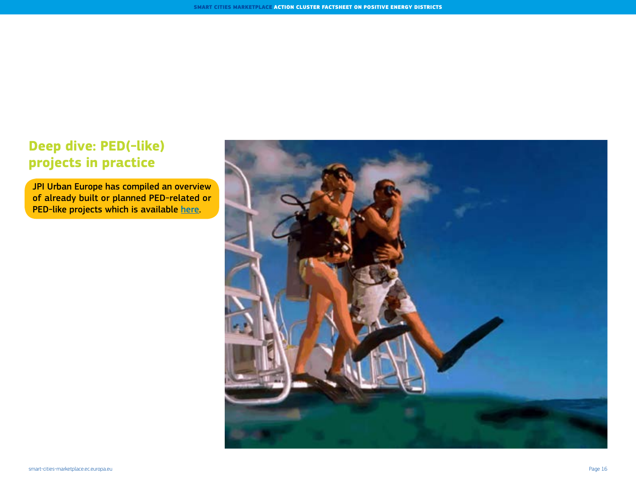# **Deep dive: PED(-like) projects in practice**

JPI Urban Europe has compiled an overview of already built or planned PED-related or PED-like projects which is available [here](https://jpi-urbaneurope.eu/wp-content/uploads/2020/06/PED-Booklet-Update-Feb-2020_2.pdf).